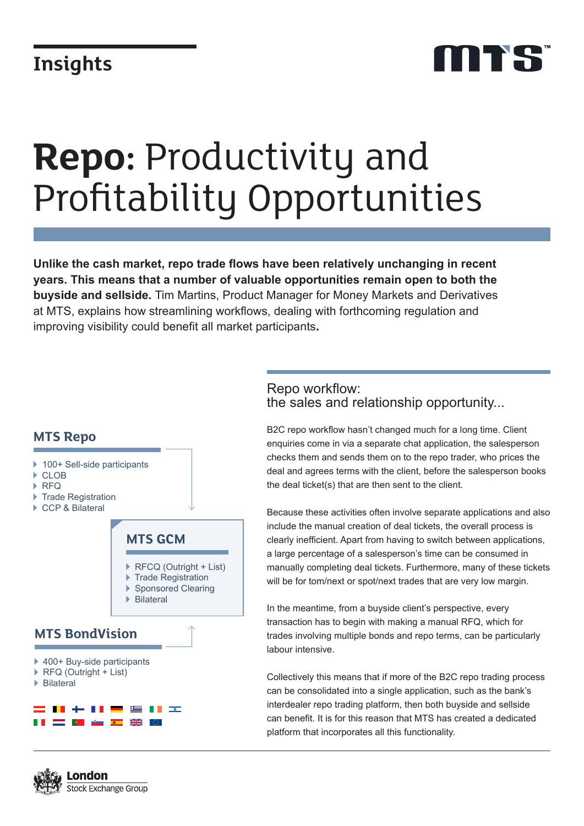# **Repo:** Productivity and Profitability Opportunities

**Unlike the cash market, repo trade flows have been relatively unchanging in recent years. This means that a number of valuable opportunities remain open to both the buyside and sellside.** Tim Martins, Product Manager for Money Markets and Derivatives at MTS, explains how streamlining workflows, dealing with forthcoming regulation and improving visibility could benefit all market participants**.**

### **MTS Repo** ▶ 100+ Sell-side participants ▶ CLOB ▶ RFQ ▶ Trade Registration ▶ CCP & Bilateral **MTS GCM** ▶ RFCQ (Outright + List) Trade Registration Sponsored Clearing Bilateral **MTS BondVision** ▶ 400+ Buy-side participants ▶ RFQ (Outright + List) Bilateral▐▐▏▗▏▖▕▌▊  $\frac{1}{2}$ <u> De Santa Barat de Santa Barat de Santa Barat de Santa Barat de Santa Barat de Santa Barat de Santa Barat de S</u>  $\frac{1}{2}$

#### Repo workflow: the sales and relationship opportunity...

B2C repo workflow hasn't changed much for a long time. Client enquiries come in via a separate chat application, the salesperson checks them and sends them on to the repo trader, who prices the deal and agrees terms with the client, before the salesperson books the deal ticket(s) that are then sent to the client.

Because these activities often involve separate applications and also include the manual creation of deal tickets, the overall process is clearly inefficient. Apart from having to switch between applications, a large percentage of a salesperson's time can be consumed in manually completing deal tickets. Furthermore, many of these tickets will be for tom/next or spot/next trades that are very low margin.

In the meantime, from a buyside client's perspective, every transaction has to begin with making a manual RFQ, which for trades involving multiple bonds and repo terms, can be particularly labour intensive.

Collectively this means that if more of the B2C repo trading process can be consolidated into a single application, such as the bank's interdealer repo trading platform, then both buyside and sellside can benefit. It is for this reason that MTS has created a dedicated platform that incorporates all this functionality.

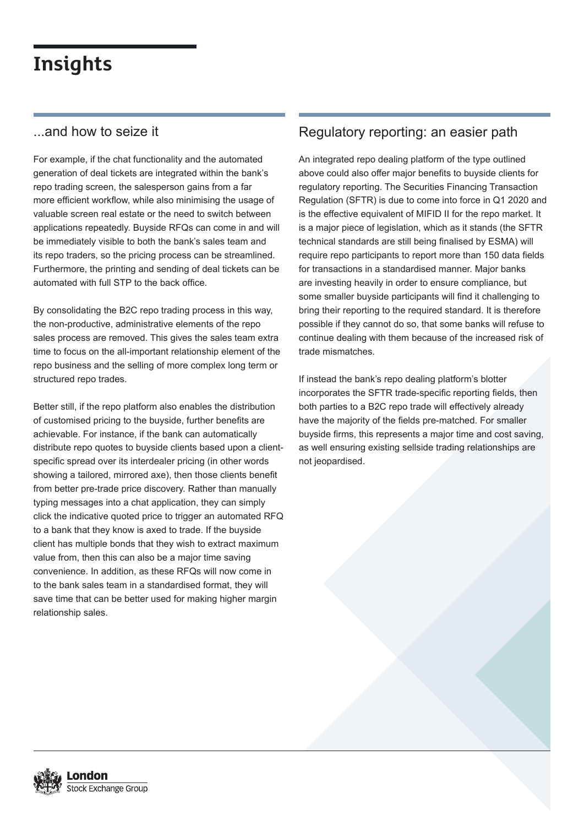#### ...and how to seize it

For example, if the chat functionality and the automated generation of deal tickets are integrated within the bank's repo trading screen, the salesperson gains from a far more efficient workflow, while also minimising the usage of valuable screen real estate or the need to switch between applications repeatedly. Buyside RFQs can come in and will be immediately visible to both the bank's sales team and its repo traders, so the pricing process can be streamlined. Furthermore, the printing and sending of deal tickets can be automated with full STP to the back office.

By consolidating the B2C repo trading process in this way, the non-productive, administrative elements of the repo sales process are removed. This gives the sales team extra time to focus on the all-important relationship element of the repo business and the selling of more complex long term or structured repo trades.

Better still, if the repo platform also enables the distribution of customised pricing to the buyside, further benefits are achievable. For instance, if the bank can automatically distribute repo quotes to buyside clients based upon a clientspecific spread over its interdealer pricing (in other words showing a tailored, mirrored axe), then those clients benefit from better pre-trade price discovery. Rather than manually typing messages into a chat application, they can simply click the indicative quoted price to trigger an automated RFQ to a bank that they know is axed to trade. If the buyside client has multiple bonds that they wish to extract maximum value from, then this can also be a major time saving convenience. In addition, as these RFQs will now come in to the bank sales team in a standardised format, they will save time that can be better used for making higher margin relationship sales.

### Regulatory reporting: an easier path

An integrated repo dealing platform of the type outlined above could also offer major benefits to buyside clients for regulatory reporting. The Securities Financing Transaction Regulation (SFTR) is due to come into force in Q1 2020 and is the effective equivalent of MIFID II for the repo market. It is a major piece of legislation, which as it stands (the SFTR technical standards are still being finalised by ESMA) will require repo participants to report more than 150 data fields for transactions in a standardised manner. Major banks are investing heavily in order to ensure compliance, but some smaller buyside participants will find it challenging to bring their reporting to the required standard. It is therefore possible if they cannot do so, that some banks will refuse to continue dealing with them because of the increased risk of trade mismatches.

If instead the bank's repo dealing platform's blotter incorporates the SFTR trade-specific reporting fields, then both parties to a B2C repo trade will effectively already have the majority of the fields pre-matched. For smaller buyside firms, this represents a major time and cost saving, as well ensuring existing sellside trading relationships are not jeopardised.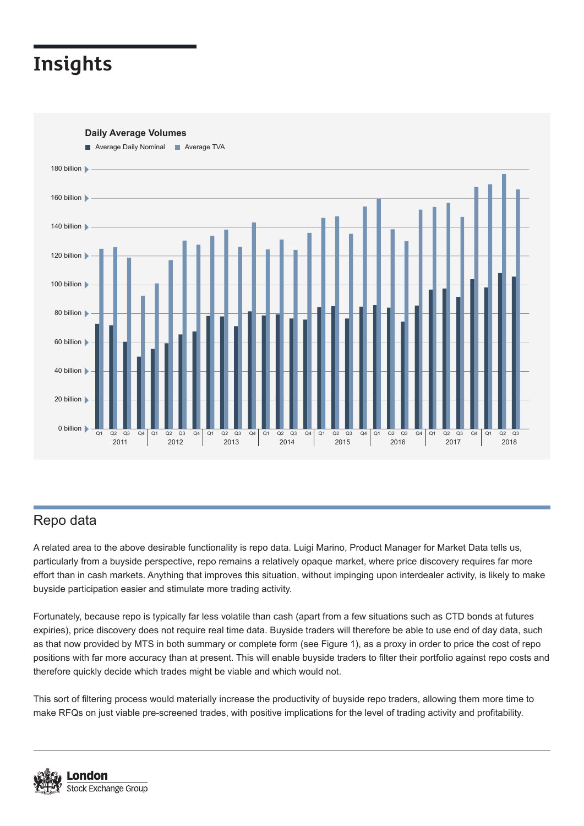**Daily Average Volumes**



Repo data

A related area to the above desirable functionality is repo data. Luigi Marino, Product Manager for Market Data tells us, particularly from a buyside perspective, repo remains a relatively opaque market, where price discovery requires far more effort than in cash markets. Anything that improves this situation, without impinging upon interdealer activity, is likely to make buyside participation easier and stimulate more trading activity.

Fortunately, because repo is typically far less volatile than cash (apart from a few situations such as CTD bonds at futures expiries), price discovery does not require real time data. Buyside traders will therefore be able to use end of day data, such as that now provided by MTS in both summary or complete form (see Figure 1), as a proxy in order to price the cost of repo positions with far more accuracy than at present. This will enable buyside traders to filter their portfolio against repo costs and therefore quickly decide which trades might be viable and which would not.

This sort of filtering process would materially increase the productivity of buyside repo traders, allowing them more time to make RFQs on just viable pre-screened trades, with positive implications for the level of trading activity and profitability.